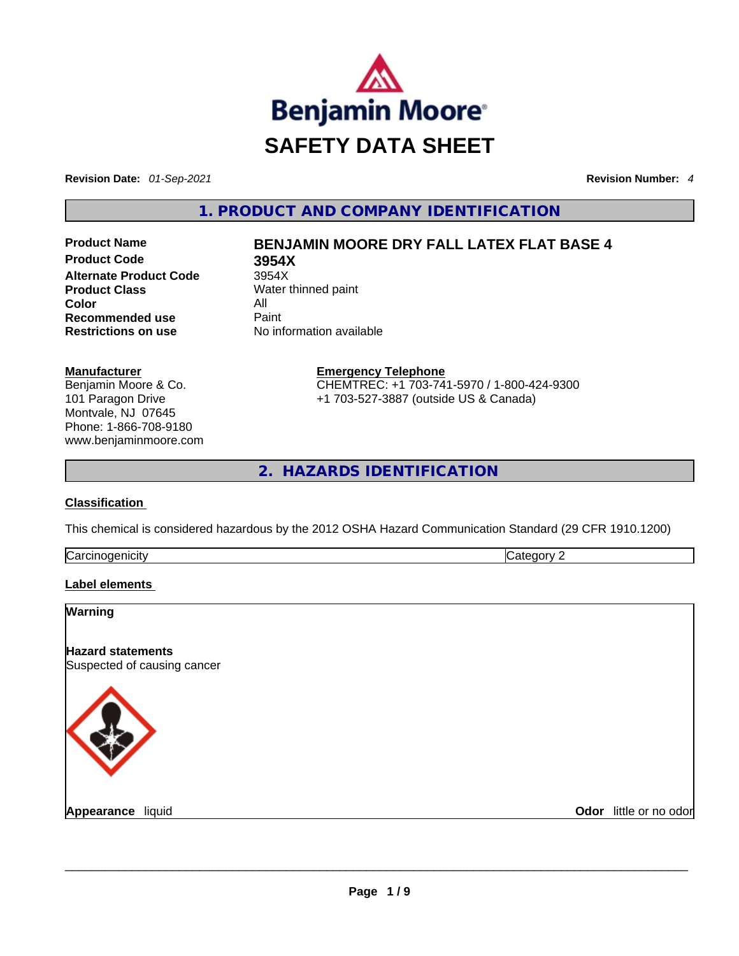

**Revision Date:** *01-Sep-2021* **Revision Number:** *4*

**1. PRODUCT AND COMPANY IDENTIFICATION** 

**Product Code 3954X Alternate Product Code** 3954X **Product Class** Water thinned paint **Color** All **Recommended use Paint Restrictions on use** No information available

# **Product Name BENJAMIN MOORE DRY FALL LATEX FLAT BASE 4**

**Manufacturer** Benjamin Moore & Co. 101 Paragon Drive Montvale, NJ 07645 Phone: 1-866-708-9180 www.benjaminmoore.com **Emergency Telephone** CHEMTREC: +1 703-741-5970 / 1-800-424-9300 +1 703-527-3887 (outside US & Canada)

**2. HAZARDS IDENTIFICATION** 

## **Classification**

This chemical is considered hazardous by the 2012 OSHA Hazard Communication Standard (29 CFR 1910.1200)

| ∽<br>II<br> | . .<br> |
|-------------|---------|
|             |         |

## **Label elements**

# **Warning**

**Hazard statements** Suspected of causing cancer



**Appearance** liquid \_\_\_\_\_\_\_\_\_\_\_\_\_\_\_\_\_\_\_\_\_\_\_\_\_\_\_\_\_\_\_\_\_\_\_\_\_\_\_\_\_\_\_\_\_\_\_\_\_\_\_\_\_\_\_\_\_\_\_\_\_\_\_\_\_\_\_\_\_\_\_\_\_\_\_\_\_\_\_\_\_\_\_\_\_\_\_\_\_\_\_\_\_ **Odor** little or no odor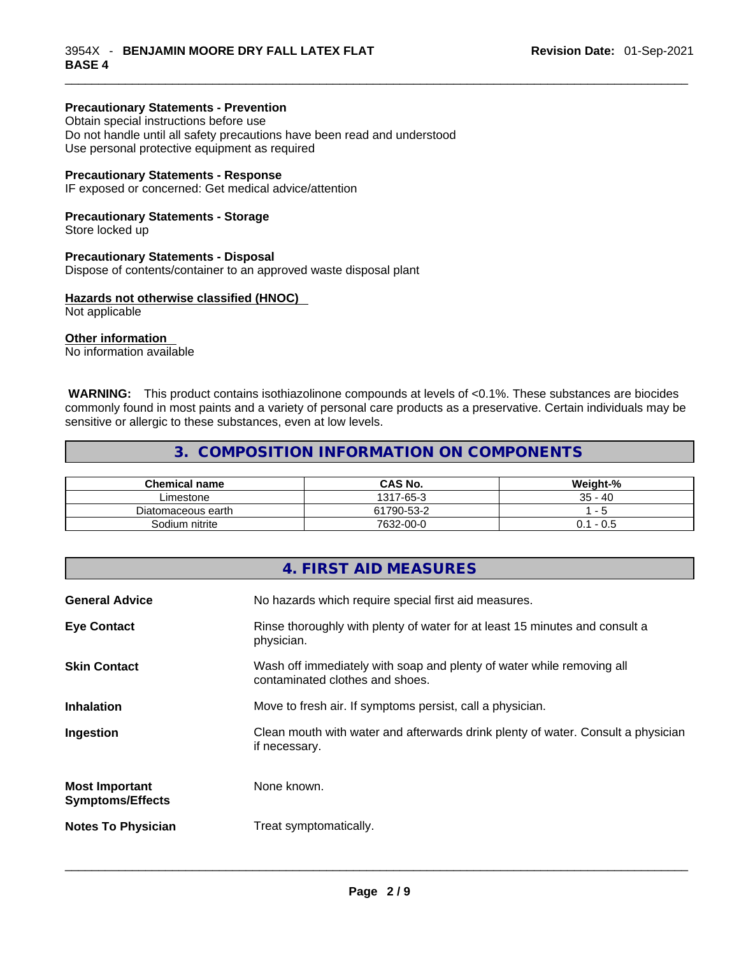#### **Precautionary Statements - Prevention**

Obtain special instructions before use Do not handle until all safety precautions have been read and understood Use personal protective equipment as required

#### **Precautionary Statements - Response**

IF exposed or concerned: Get medical advice/attention

#### **Precautionary Statements - Storage**

Store locked up

#### **Precautionary Statements - Disposal**

Dispose of contents/container to an approved waste disposal plant

### **Hazards not otherwise classified (HNOC)**

Not applicable

#### **Other information**

No information available

 **WARNING:** This product contains isothiazolinone compounds at levels of <0.1%. These substances are biocides commonly found in most paints and a variety of personal care products as a preservative. Certain individuals may be sensitive or allergic to these substances, even at low levels.

# **3. COMPOSITION INFORMATION ON COMPONENTS**

| <b>Chemical name</b> | CAS No.    | Weight-%  |
|----------------------|------------|-----------|
| ∟imestone            | 1317-65-3  | $35 - 40$ |
| Diatomaceous earth   | 61790-53-2 |           |
| Sodium nitrite       | 7632-00-0  | - 0.5     |

## **4. FIRST AID MEASURES**

| <b>General Advice</b>                            | No hazards which require special first aid measures.                                                     |
|--------------------------------------------------|----------------------------------------------------------------------------------------------------------|
| <b>Eye Contact</b>                               | Rinse thoroughly with plenty of water for at least 15 minutes and consult a<br>physician.                |
| <b>Skin Contact</b>                              | Wash off immediately with soap and plenty of water while removing all<br>contaminated clothes and shoes. |
| <b>Inhalation</b>                                | Move to fresh air. If symptoms persist, call a physician.                                                |
| Ingestion                                        | Clean mouth with water and afterwards drink plenty of water. Consult a physician<br>if necessary.        |
| <b>Most Important</b><br><b>Symptoms/Effects</b> | None known.                                                                                              |
| <b>Notes To Physician</b>                        | Treat symptomatically.                                                                                   |
|                                                  |                                                                                                          |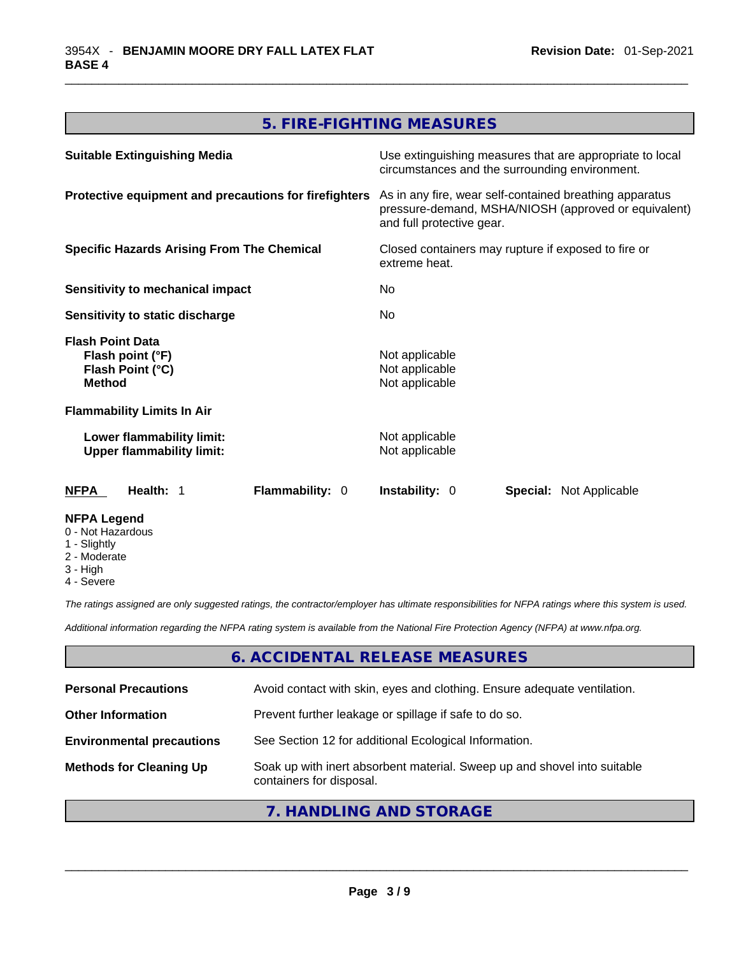# **5. FIRE-FIGHTING MEASURES**

| <b>Suitable Extinguishing Media</b>                                                     | Use extinguishing measures that are appropriate to local<br>circumstances and the surrounding environment.                                   |
|-----------------------------------------------------------------------------------------|----------------------------------------------------------------------------------------------------------------------------------------------|
| Protective equipment and precautions for firefighters                                   | As in any fire, wear self-contained breathing apparatus<br>pressure-demand, MSHA/NIOSH (approved or equivalent)<br>and full protective gear. |
| <b>Specific Hazards Arising From The Chemical</b>                                       | Closed containers may rupture if exposed to fire or<br>extreme heat.                                                                         |
| Sensitivity to mechanical impact                                                        | No                                                                                                                                           |
| Sensitivity to static discharge                                                         | No                                                                                                                                           |
| <b>Flash Point Data</b><br>Flash point (°F)<br><b>Flash Point (°C)</b><br><b>Method</b> | Not applicable<br>Not applicable<br>Not applicable                                                                                           |
| <b>Flammability Limits In Air</b>                                                       |                                                                                                                                              |
| Lower flammability limit:<br><b>Upper flammability limit:</b>                           | Not applicable<br>Not applicable                                                                                                             |
| <b>Flammability: 0</b><br>NFPA<br>Health: 1                                             | <b>Instability: 0</b><br><b>Special: Not Applicable</b>                                                                                      |
| <b>NFPA Legend</b><br>0 - Not Hazardous<br>1 - Slightly<br>2 - Moderate                 |                                                                                                                                              |

- 3 High
- 
- 4 Severe

*The ratings assigned are only suggested ratings, the contractor/employer has ultimate responsibilities for NFPA ratings where this system is used.* 

*Additional information regarding the NFPA rating system is available from the National Fire Protection Agency (NFPA) at www.nfpa.org.* 

# **6. ACCIDENTAL RELEASE MEASURES**

| <b>Personal Precautions</b>      | Avoid contact with skin, eyes and clothing. Ensure adequate ventilation.                             |
|----------------------------------|------------------------------------------------------------------------------------------------------|
| <b>Other Information</b>         | Prevent further leakage or spillage if safe to do so.                                                |
| <b>Environmental precautions</b> | See Section 12 for additional Ecological Information.                                                |
| <b>Methods for Cleaning Up</b>   | Soak up with inert absorbent material. Sweep up and shovel into suitable<br>containers for disposal. |

# **7. HANDLING AND STORAGE**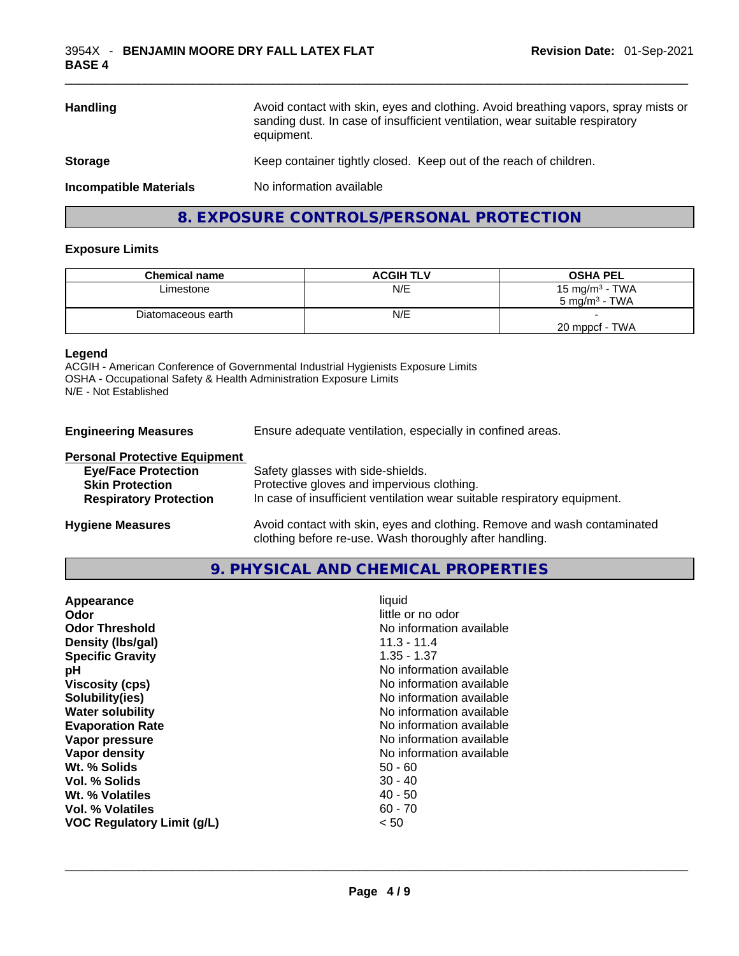| <b>Handling</b>               | Avoid contact with skin, eyes and clothing. Avoid breathing vapors, spray mists or<br>sanding dust. In case of insufficient ventilation, wear suitable respiratory<br>equipment. |
|-------------------------------|----------------------------------------------------------------------------------------------------------------------------------------------------------------------------------|
| <b>Storage</b>                | Keep container tightly closed. Keep out of the reach of children.                                                                                                                |
| <b>Incompatible Materials</b> | No information available                                                                                                                                                         |

# **8. EXPOSURE CONTROLS/PERSONAL PROTECTION**

#### **Exposure Limits**

| <b>Chemical name</b> | <b>ACGIH TLV</b> | <b>OSHA PEL</b>   |
|----------------------|------------------|-------------------|
| Limestone            | N/E              | 15 mg/m $3$ - TWA |
|                      |                  | 5 mg/m $3$ - TWA  |
| Diatomaceous earth   | N/E              |                   |
|                      |                  | 20 mppcf - TWA    |

#### **Legend**

ACGIH - American Conference of Governmental Industrial Hygienists Exposure Limits OSHA - Occupational Safety & Health Administration Exposure Limits N/E - Not Established

| <b>Engineering Measures</b> | Ensure adequate ventilation, especially in confined areas. |  |
|-----------------------------|------------------------------------------------------------|--|
|                             |                                                            |  |

# **Personal Protective Equipment**

| <b>Eye/Face Protection</b>    | Safety glasses with side-shields.                                        |
|-------------------------------|--------------------------------------------------------------------------|
| <b>Skin Protection</b>        | Protective gloves and impervious clothing.                               |
| <b>Respiratory Protection</b> | In case of insufficient ventilation wear suitable respiratory equipment. |
| <b>Hygiene Measures</b>       | Avoid contact with skin, eyes and clothing. Remove and wash contaminated |

# **9. PHYSICAL AND CHEMICAL PROPERTIES**

clothing before re-use. Wash thoroughly after handling.

| little or no odor<br>Odor<br>No information available<br><b>Odor Threshold</b><br>11.3 - 11.4<br>Density (Ibs/gal)<br><b>Specific Gravity</b><br>$1.35 - 1.37$<br>No information available<br>рH<br>No information available<br><b>Viscosity (cps)</b><br>Solubility(ies)<br>No information available<br>No information available<br><b>Water solubility</b><br><b>Evaporation Rate</b><br>No information available<br>No information available<br>Vapor pressure<br>No information available<br>Vapor density<br>Wt. % Solids<br>$50 - 60$<br>Vol. % Solids<br>$30 - 40$<br>40 - 50<br>Wt. % Volatiles<br>$60 - 70$<br>Vol. % Volatiles<br><b>VOC Regulatory Limit (g/L)</b><br>< 50 |  |
|---------------------------------------------------------------------------------------------------------------------------------------------------------------------------------------------------------------------------------------------------------------------------------------------------------------------------------------------------------------------------------------------------------------------------------------------------------------------------------------------------------------------------------------------------------------------------------------------------------------------------------------------------------------------------------------|--|
|---------------------------------------------------------------------------------------------------------------------------------------------------------------------------------------------------------------------------------------------------------------------------------------------------------------------------------------------------------------------------------------------------------------------------------------------------------------------------------------------------------------------------------------------------------------------------------------------------------------------------------------------------------------------------------------|--|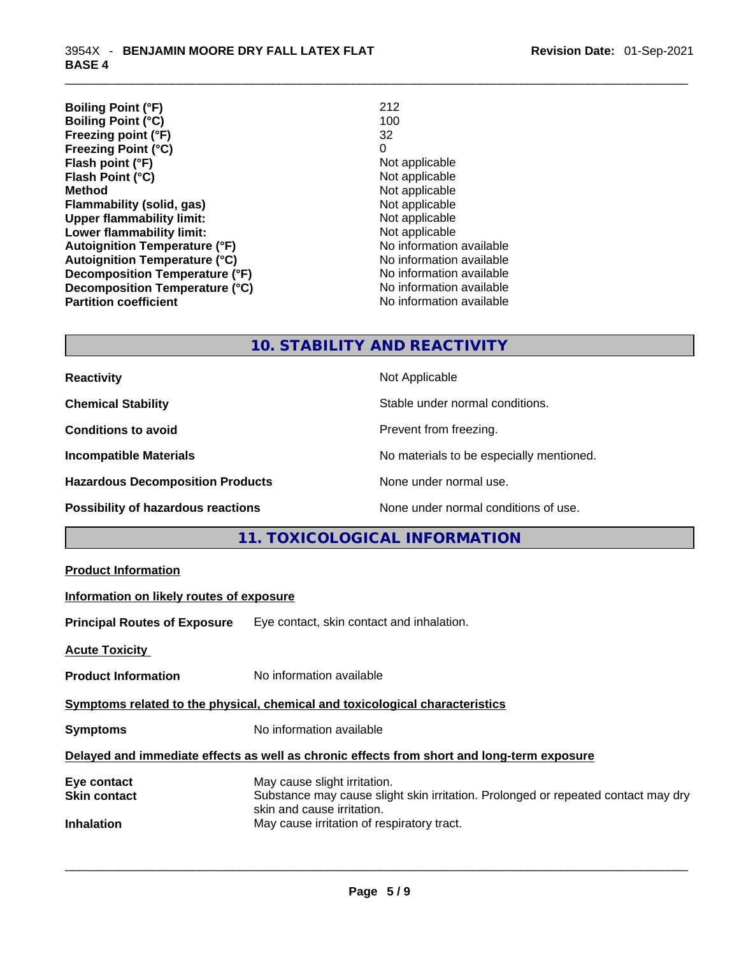| 212                      |
|--------------------------|
| 100                      |
| 32                       |
| 0                        |
| Not applicable           |
| Not applicable           |
| Not applicable           |
| Not applicable           |
| Not applicable           |
| Not applicable           |
| No information available |
| No information available |
| No information available |
| No information available |
| No information available |
|                          |

# **10. STABILITY AND REACTIVITY**

| <b>Reactivity</b>                         | Not Applicable                           |
|-------------------------------------------|------------------------------------------|
| <b>Chemical Stability</b>                 | Stable under normal conditions.          |
| <b>Conditions to avoid</b>                | Prevent from freezing.                   |
| <b>Incompatible Materials</b>             | No materials to be especially mentioned. |
| <b>Hazardous Decomposition Products</b>   | None under normal use.                   |
| <b>Possibility of hazardous reactions</b> | None under normal conditions of use.     |

# **11. TOXICOLOGICAL INFORMATION**

## **Information on likely routes of exposure**

**Principal Routes of Exposure** Eye contact, skin contact and inhalation.

**Acute Toxicity** 

**Product Information** No information available

# **Symptoms related to the physical, chemical and toxicological characteristics**

**Symptoms** No information available

# **Delayed and immediate effects as well as chronic effects from short and long-term exposure**

| Eye contact         | May cause slight irritation.                                                      |
|---------------------|-----------------------------------------------------------------------------------|
| <b>Skin contact</b> | Substance may cause slight skin irritation. Prolonged or repeated contact may dry |
|                     | skin and cause irritation.                                                        |
| <b>Inhalation</b>   | May cause irritation of respiratory tract.                                        |
|                     |                                                                                   |
|                     |                                                                                   |
|                     |                                                                                   |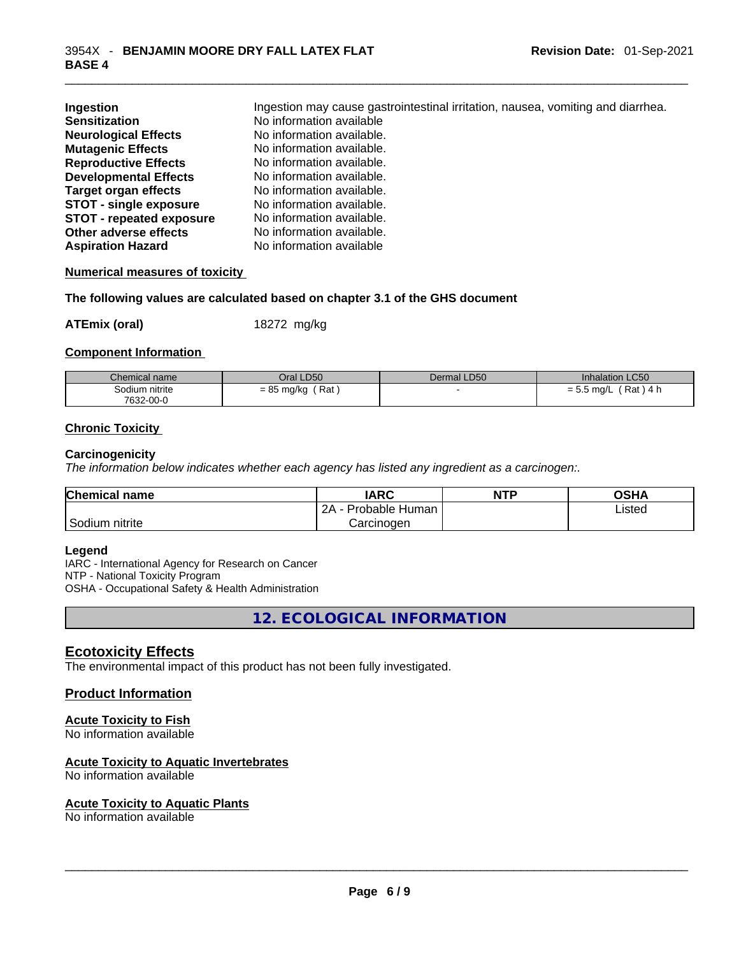| Ingestion                       | Ingestion may cause gastrointestinal irritation, nausea, vomiting and diarrhea. |
|---------------------------------|---------------------------------------------------------------------------------|
| <b>Sensitization</b>            | No information available                                                        |
| <b>Neurological Effects</b>     | No information available.                                                       |
| <b>Mutagenic Effects</b>        | No information available.                                                       |
| <b>Reproductive Effects</b>     | No information available.                                                       |
| <b>Developmental Effects</b>    | No information available.                                                       |
| <b>Target organ effects</b>     | No information available.                                                       |
| <b>STOT - single exposure</b>   | No information available.                                                       |
| <b>STOT - repeated exposure</b> | No information available.                                                       |
| Other adverse effects           | No information available.                                                       |
| <b>Aspiration Hazard</b>        | No information available                                                        |

#### **Numerical measures of toxicity**

**The following values are calculated based on chapter 3.1 of the GHS document**

**ATEmix (oral)** 18272 mg/kg

#### **Component Information**

| Chemical name  | Oral LD50           | Dermal LD50 | <b>Inhalation LC50</b>                    |
|----------------|---------------------|-------------|-------------------------------------------|
| Sodium nitrite | Rat<br>$= 85$ mg/kg |             | ) 4 h<br>Rat <sup>'</sup><br>$= 5.5$ mg/L |
| 7632-00-0      |                     |             |                                           |

#### **Chronic Toxicity**

#### **Carcinogenicity**

*The information below indicates whether each agency has listed any ingredient as a carcinogen:.* 

| <b>Chemical name</b> | IARC                 | <b>NTP</b> | OSHA   |
|----------------------|----------------------|------------|--------|
|                      | 2A<br>Probable Human |            | ∟isted |
| Sodium nitrite       | Carcinogen           |            |        |

#### **Legend**

IARC - International Agency for Research on Cancer NTP - National Toxicity Program OSHA - Occupational Safety & Health Administration

**12. ECOLOGICAL INFORMATION** 

## **Ecotoxicity Effects**

The environmental impact of this product has not been fully investigated.

#### **Product Information**

#### **Acute Toxicity to Fish**

No information available

#### **Acute Toxicity to Aquatic Invertebrates**

No information available

# **Acute Toxicity to Aquatic Plants**

No information available \_\_\_\_\_\_\_\_\_\_\_\_\_\_\_\_\_\_\_\_\_\_\_\_\_\_\_\_\_\_\_\_\_\_\_\_\_\_\_\_\_\_\_\_\_\_\_\_\_\_\_\_\_\_\_\_\_\_\_\_\_\_\_\_\_\_\_\_\_\_\_\_\_\_\_\_\_\_\_\_\_\_\_\_\_\_\_\_\_\_\_\_\_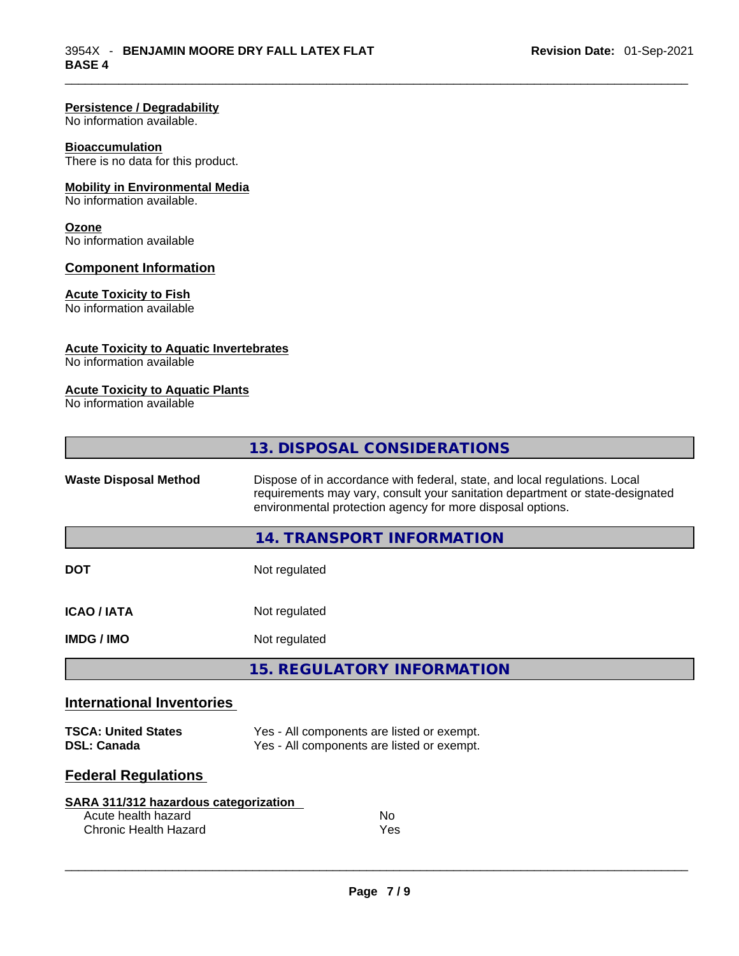#### **Persistence / Degradability**

No information available.

#### **Bioaccumulation**

There is no data for this product.

#### **Mobility in Environmental Media**

No information available.

#### **Ozone**

No information available

#### **Component Information**

#### **Acute Toxicity to Fish**

No information available

#### **Acute Toxicity to Aquatic Invertebrates**

No information available

#### **Acute Toxicity to Aquatic Plants**

No information available

|                              | 13. DISPOSAL CONSIDERATIONS                                                                                                                                                                                               |
|------------------------------|---------------------------------------------------------------------------------------------------------------------------------------------------------------------------------------------------------------------------|
| <b>Waste Disposal Method</b> | Dispose of in accordance with federal, state, and local regulations. Local<br>requirements may vary, consult your sanitation department or state-designated<br>environmental protection agency for more disposal options. |
|                              | 14. TRANSPORT INFORMATION                                                                                                                                                                                                 |
| <b>DOT</b>                   | Not regulated                                                                                                                                                                                                             |
| <b>ICAO/IATA</b>             | Not regulated                                                                                                                                                                                                             |
| <b>IMDG/IMO</b>              | Not regulated                                                                                                                                                                                                             |
|                              | <b>15. REGULATORY INFORMATION</b>                                                                                                                                                                                         |
| International Inventories    |                                                                                                                                                                                                                           |

## **International Inventories**

| <b>TSCA: United States</b> | Yes - All components are listed or exempt. |
|----------------------------|--------------------------------------------|
| <b>DSL: Canada</b>         | Yes - All components are listed or exempt. |

## **Federal Regulations**

| SARA 311/312 hazardous categorization |     |  |
|---------------------------------------|-----|--|
| Acute health hazard                   | No. |  |
| Chronic Health Hazard                 | Yes |  |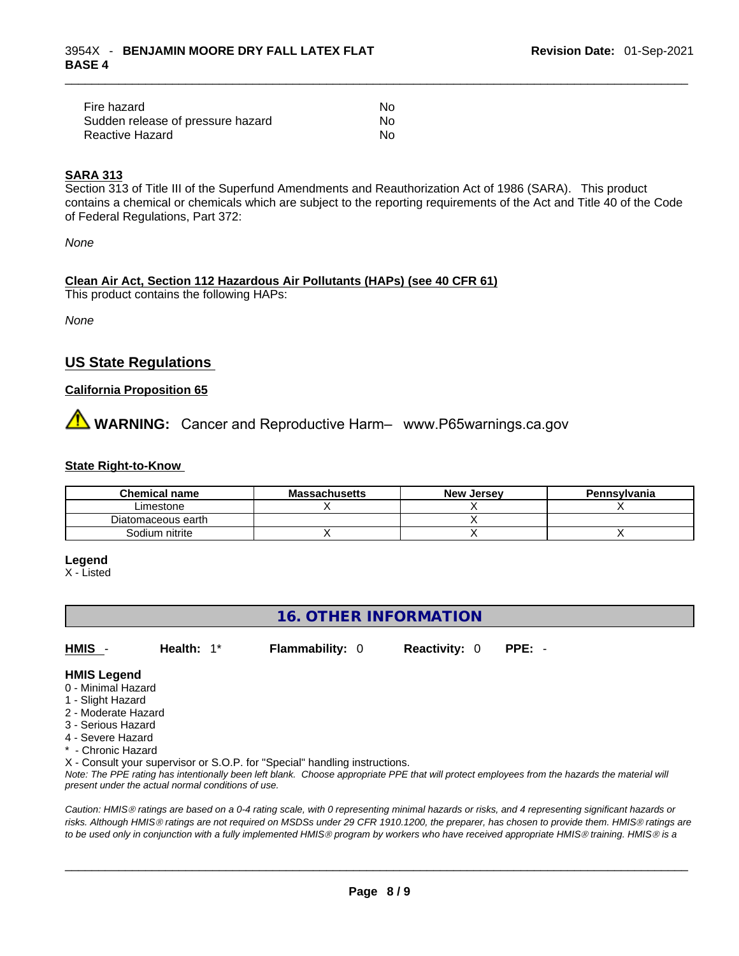| Fire hazard                       | No. |
|-----------------------------------|-----|
| Sudden release of pressure hazard | No. |
| Reactive Hazard                   | Nο  |

#### **SARA 313**

Section 313 of Title III of the Superfund Amendments and Reauthorization Act of 1986 (SARA). This product contains a chemical or chemicals which are subject to the reporting requirements of the Act and Title 40 of the Code of Federal Regulations, Part 372:

*None*

# **Clean Air Act,Section 112 Hazardous Air Pollutants (HAPs) (see 40 CFR 61)**

This product contains the following HAPs:

*None*

# **US State Regulations**

#### **California Proposition 65**

**AVIMARNING:** Cancer and Reproductive Harm– www.P65warnings.ca.gov

#### **State Right-to-Know**

| Chemical name      | <b>Massachusetts</b> | <b>New Jersey</b> | Pennsylvania |
|--------------------|----------------------|-------------------|--------------|
| Limestone          |                      |                   |              |
| Diatomaceous earth |                      |                   |              |
| Sodium nitrite     |                      |                   |              |

#### **Legend**

X - Listed

# **16. OTHER INFORMATION HMIS** - **Health:** 1\* **Flammability:** 0 **Reactivity:** 0 **PPE:** - **HMIS Legend** 0 - Minimal Hazard 1 - Slight Hazard 2 - Moderate Hazard 3 - Serious Hazard 4 - Severe Hazard \* - Chronic Hazard

X - Consult your supervisor or S.O.P. for "Special" handling instructions.

Note: The PPE rating has intentionally been left blank. Choose appropriate PPE that will protect employees from the hazards the material will *present under the actual normal conditions of use.* 

*Caution: HMISÒ ratings are based on a 0-4 rating scale, with 0 representing minimal hazards or risks, and 4 representing significant hazards or risks. Although HMISÒ ratings are not required on MSDSs under 29 CFR 1910.1200, the preparer, has chosen to provide them. HMISÒ ratings are to be used only in conjunction with a fully implemented HMISÒ program by workers who have received appropriate HMISÒ training. HMISÒ is a*